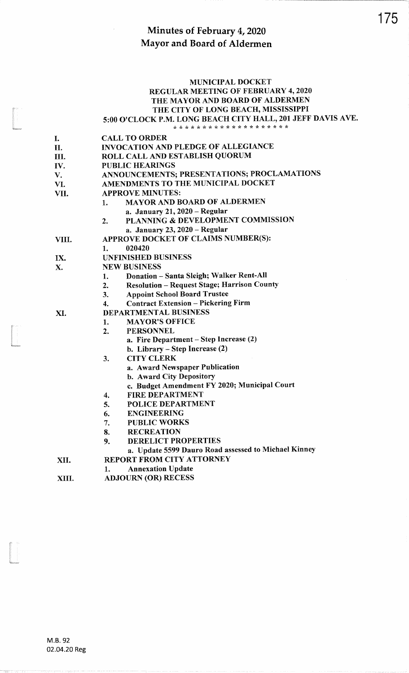### MUNICIPAL DOCKETREGULAR MEETING OF FEBRUARY 4, 2020 THE MAYOR AND BOARD OF ALDERMENTHE CITY OF LONG BEACH, MISSISSIPPI

# 5:00 o'clocK P.M. LONG BEACH CITY HALL,201 JEFF DAVIS AVE. ?t \* \* \* tr tr tr \* \* \* \* \* \* \* \* \* ?t \* \* rt

|       | * * * * * * * * * * * * * * * * * *                      |  |  |  |
|-------|----------------------------------------------------------|--|--|--|
| I.    | <b>CALL TO ORDER</b>                                     |  |  |  |
| II.   | <b>INVOCATION AND PLEDGE OF ALLEGIANCE</b>               |  |  |  |
| Ш.    | ROLL CALL AND ESTABLISH QUORUM                           |  |  |  |
| IV.   | <b>PUBLIC HEARINGS</b>                                   |  |  |  |
| V.    | ANNOUNCEMENTS; PRESENTATIONS; PROCLAMATIONS              |  |  |  |
| VI.   | AMENDMENTS TO THE MUNICIPAL DOCKET                       |  |  |  |
| VII.  | <b>APPROVE MINUTES:</b>                                  |  |  |  |
|       | MAYOR AND BOARD OF ALDERMEN<br>1.                        |  |  |  |
|       | a. January 21, 2020 - Regular                            |  |  |  |
|       | PLANNING & DEVELOPMENT COMMISSION<br>$\overline{2}$ .    |  |  |  |
|       | a. January 23, 2020 - Regular                            |  |  |  |
| VIII. | APPROVE DOCKET OF CLAIMS NUMBER(S):                      |  |  |  |
|       | 020420<br>1.                                             |  |  |  |
| IX.   | <b>UNFINISHED BUSINESS</b>                               |  |  |  |
| Х.    | <b>NEW BUSINESS</b>                                      |  |  |  |
|       | Donation - Santa Sleigh; Walker Rent-All<br>1.           |  |  |  |
|       | <b>Resolution - Request Stage; Harrison County</b><br>2. |  |  |  |
|       | <b>Appoint School Board Trustee</b><br>3.                |  |  |  |
|       | <b>Contract Extension - Pickering Firm</b><br>4.         |  |  |  |
| XI.   | <b>DEPARTMENTAL BUSINESS</b>                             |  |  |  |
|       | <b>MAYOR'S OFFICE</b><br>1.                              |  |  |  |
|       | <b>PERSONNEL</b><br>2.                                   |  |  |  |
|       | a. Fire Department - Step Increase (2)                   |  |  |  |
|       | b. Library – Step Increase $(2)$                         |  |  |  |
|       | <b>CITY CLERK</b><br>3.                                  |  |  |  |
|       | a. Award Newspaper Publication                           |  |  |  |
|       | b. Award City Depository                                 |  |  |  |
|       | c. Budget Amendment FY 2020; Municipal Court             |  |  |  |
|       | <b>FIRE DEPARTMENT</b><br>4.                             |  |  |  |
|       | POLICE DEPARTMENT<br>5.                                  |  |  |  |
|       | <b>ENGINEERING</b><br>6.                                 |  |  |  |
|       | <b>PUBLIC WORKS</b><br>7.                                |  |  |  |
|       | <b>RECREATION</b><br>8.                                  |  |  |  |
|       | <b>DERELICT PROPERTIES</b><br>9.                         |  |  |  |
|       | a. Update 5599 Dauro Road assessed to Michael Kinney     |  |  |  |
| XII.  | <b>REPORT FROM CITY ATTORNEY</b>                         |  |  |  |
|       | <b>Annexation Update</b><br>1.                           |  |  |  |
| XIII. | <b>ADJOURN (OR) RECESS</b>                               |  |  |  |

In the control of the control of the control of the control of the control of the control of the control of the control of the control of the control of the control of the control of the control of the control of the contr

In the company of the company of the company of the company of the company of the company of the company of the company of the company of the company of the company of the company of the company of the company of the compa

tra<br>Marana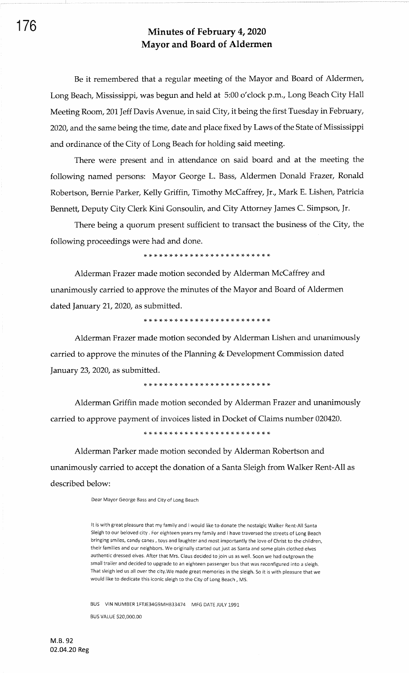Be it remembered that a regular meeting of the Mayor and Board of Aldermen, Long Beach, Mississippi, was begun and held at 5:00 o'clock p.m., Long Beach City Hall Meeting Room, 201 Jeff Davis Avenue, in said City, it being the first Tuesday in February, 2020, and the same being the time, date and place fixed by Laws of the State of Mississippi and ordinance of the City of Long Beach for holding said meeting.

There were present and in attendance on said board and at the meeting the following named persons: Mayor George L. Bass, Aldermen Donald Frazer, Ronald Robertson, Bernie Parker, Kelly Griffin, Timothy McCaffrey, Jr., Mark E. Lishen, Patricia Bennett, Deputy City Clerk Kini Gonsoulin, and City Attorney James C. Simpson, Jr.

There being a quorum present sufficient to transact the business of the City, the following proceedings were had and done.

Alderman Frazer made motion seconded by Alderman McCaffrey and unanimously carried to approve the minutes of the Mayor and Board of Aldermen dated January 21, 2020, as submitted.

)F rF :f \* t! \* \* \* \* \* \* tF rt rF rt )t ri ri \* \* \* \* \* rF \*

Alderman Frazer made motion seconded by Alderman Lishen and unanimously carried to approve the minutes of the Planning & Development Commission dated January 23, 2020, as submitted.

Alderman Griffin made motion seconded by Alderman Frazer and unanimously carried to approve payment of invoices listed in Docket of Claims number 020420.

Alderman Parker made motion seconded by Alderman Robertson and unanimously carried to accept the donation of a Santa Sleigh from Walker Rent-All as described below:

Dear Mayor George Bass and City of Long Beach

It is with great pleasure that my family and I would like to donate the nostalgic Walker Rent-All Santa Sleigh to our beloved city . For eighteen years my family and I have traversed the streets of Long Beach bringing smiles, candy canes , toys and laughter and most importantly the love of Christ to the children, their families and our neighbors. We originally started out just as Santa and some plain clothed elves authentic dressed elves. After that Mrs. Claus decided to join us as well. Soon we had outgrown the small trailer and decided to upgrade to an eighteen passenger bus that was reconfigured into a sleigh. That sleigh led us all over the city.We made great memories in the sleigh. 5o it is with pleasure that we would like to dedicate this iconic sleigh to the City of Long Beach , MS.

BUS VIN NUMBER 1FTJE34G9MHB33474 MFG DATE JULY <sup>1991</sup>

BUS VALUE \$20,000.00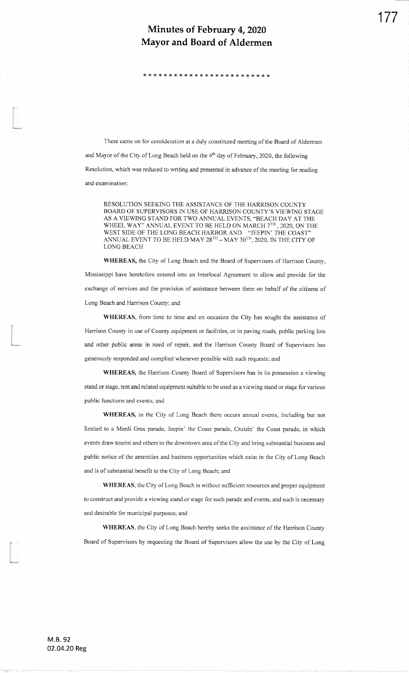:F rt rF \* \* \* )t rT \* \* !r )T \* \* rt rf \* \* \* !F rF rF :t :F rF

There came on for consideration at a duly constituted meeting of the Board of Aldermen and Mayor of the City of Long Beach held on the  $4<sup>th</sup>$  day of February, 2020, the following Resolution, which was reduced to writing and presented in advance of the meeting for readingand examination:

RESOLUTION SEEKING THE ASSISTANCE OF THE HARRISON COUNTY BOARD OF SUPERVISORS IN USE OF HARRISON COUNTY'S VIEWING STAGE AS A VIEWING STAND FOR TWO ANNUAL EVENTS, \*BEACH DAY AT THEWHEEL WAY" ANNUAL EVENT TO BE HELD ON MARCH  $7^{\mathrm{TH}}$  , 2020, ON THE WEST SIDE OF THE LONG BEACH HARBOR AND "JEEPIN' THE COAST"'ANNUAL EVENT TO BE HELD MAY 28 $^{\mathrm{TH}}$  – MAY 30 $^{\mathrm{TH}}$ , 2020, IN THE CITY OF LONG BEACH

WHEREAS, the City of Long Beach and the Board of Supervisors of Harrison County, Mississippi have heretofore entered into an Interlocal Agreement to allow and provide for theexchange of services and the provision of assistance between them on behalf of the citizens ofLong Beach and Harrison County; and

WHEREAS, from time to time and on occasion the City has sought the assistance of Harrison County in use of County equipment or facilities, or in paving roads, public parking lotsand other public areas in need of repair, and the Harrison County Board of Supervisors hasgenerously responded and complied whenever possible with such requests; and

WHEREAS, the Harrison County Board of Supervisors has in its possession a viewing stand or stagc, tent and related equipment suitable to be used as a viewing stand or stage for variouspublic functions and events; and

WHEREAS, in the City of Long Beach there occurs annual events, including but notlimited to a Mardi Gras parade, Jeepin' the Coast parade, Cruisin' the Coast parade, in which events draw tourist and others to the downtown area ofthe City and bring substantial business andpublic notice of the amenities and business opportunities which exist in the City of Long Beachand is of substantial benefit to the City of Long Beach; and

WHEREAS, the City of Long Beach is without sufficient resources and proper equipmentto construct and provide a viewing stand or stage for such parade and events, and such is necessaryand desirable for municipal purposes; and

WHEREAS, the City of Long Beach hereby seeks the assistance of the Harrison County Board of Supervisors by requesting the Board of Supervisors allow the use by the City of Long

t<br>Links<br>Maria

I<br>I<br>I<br>I

i<br>Umumi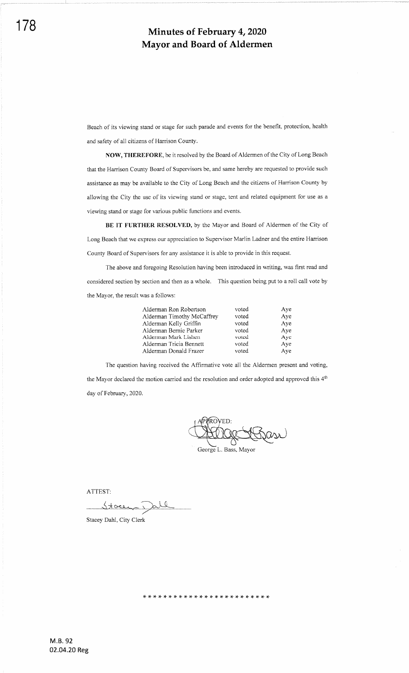Beach of its viewing stand or stage for such parade and events for the benefit, protection, health and safety of all citizens of Harrison County.

NOW, THEREFORE, be it resolved by the Board of Aldermen of the City of Long Beach that the Harrison County Board of Supervisors be, and same hereby are requested to provide such assistance as may be available to the City of Long Beach and the citizens of Harrison County by allowing the City the use of its viewing stand or stage, tent and related equipment for use as <sup>a</sup> viewing stand or stage for various public functions and events.

BE IT FURTHER RESOLVED, by the Mayor and Board of Aldermen of the City of Long Beach that we express our appreciation to Supervisor Marlin Ladner and the entire Harrison County Board of Supervisors for any assistance it is able to provide in this request.

The above and foregoing Resolution having been introduced in writing, was first read and considered section by section and then as a whole. This question being put to a roll call vote by the Mayor, the result was a follows:

| Alderman Ron Robertson     | voted | Aye |
|----------------------------|-------|-----|
| Alderman Timothy McCaffrey | voted | Aye |
| Alderman Kelly Griffin     | voted | Aye |
| Alderman Bernie Parker     | voted | Aye |
| Alderman Mark Lishen       | voted | Aye |
| Alderman Tricia Bennett    | voted | Aye |
| Alderman Donald Frazer     | voted | Ave |

The question having received the Affrrmative vote all the Aldermen present and voting, the Mayor declared the motion carried and the resolution and order adopted and approved this 4<sup>th</sup> day of February, 2020.

PPROVED: George L. Bass, Mayor

ATTEST:

عمملا

Stacey Dahl, City Clerk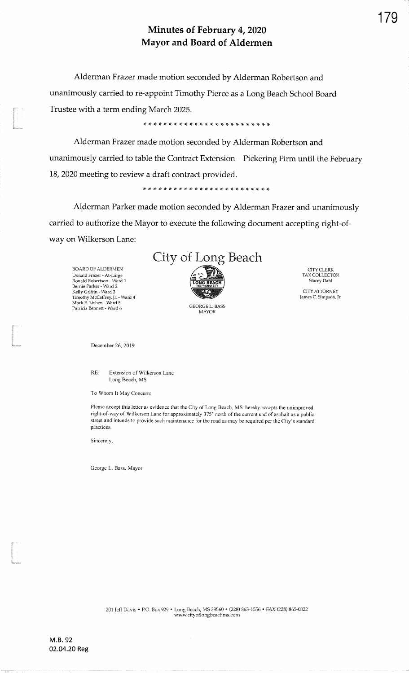Alderman Frazer made motion seconded by Alderman Robertson andunanimously carried to re-appoint Timothy Pierce as a Long Beach School BoardTrustee with a term ending March 2025.

\* \* tt rt )t \* ri rT \* \* \* \* )F rt )t \* \* rF rF rF rF rt r{. x rF

Alderman Frazer made motion seconded by Alderman Robertson andunanimously carried to table the Contract Extension - Pickering Firm until the February 18,2020 meeting to review a draft contract provided.

Alderman Parker made motion seconded by Alderman Frazer and unanimouslycarried to authorize the Mayor to execute the following document accepting right-ofway on Wilkerson Lane:



GEORGE L. EASSMAYOR

CITYCLERKTAX COLLECTOI Stacey Dahl CITYATTORNEY James C. Simpsory Jn

BOARD OF ALDERMEN Donald Frazer - At-Large<br>Ronald Robertson - Ward 1 Bernie Parker - Ward 2<br>Kelly Griffin - Ward 3<br>Timothy McCaffrey, Jr. - Ward 4<br>Mark E. Lishen - Ward 5<br>Patricia Bennett - Ward 6

t<br>Commun

India<br>India<br>India

I

December 26, 2019

RE:Extension of Wilkerson laneLong Beach, MS

To Whom It May Concern:

Please accept this letter as evidence that the City of Long Beach, MS hereby accepts the unimproved right-of-way of Wilkerson Lane for approximately 375' north of the curent end of asphalt as a publicstreet and intends to provide such maintenance for the road as may be required per the City's standard practices.

Sincerely,

George L. Bass, Mayor

179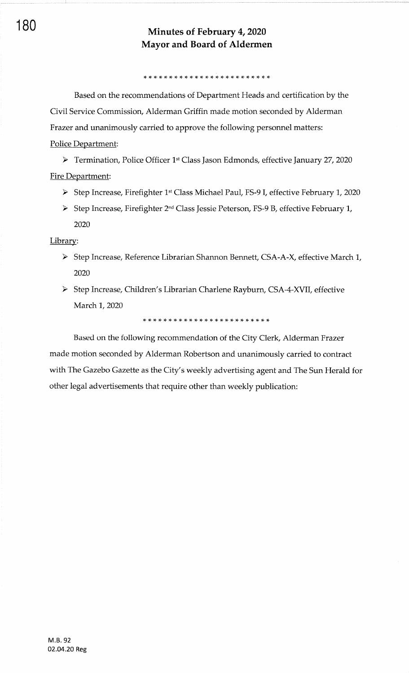Based on the recommendations of Department Heads and certification by the Civil Service Commission, Alderman Griffin made motion seconded by Alderman Frazer and unanimously carried to approve the following personnel matters: Police Department:

> Termination, Police Officer 1<sup>st</sup> Class Jason Edmonds, effective January 27, 2020 Fire Department:

- > Step Increase, Firefighter 1st Class Michael Paul, FS-9 I, effective February 1, 2020
- > Step Increase, Firefighter 2<sup>nd</sup> Class Jessie Peterson, FS-9 B, effective February 1, 2020

### Librarv:

- > Step Increase, Reference Librarian Shannon Bennett, CSA-A-X, effective March 1, 2020
- > Step Increase, Children's Librarian Charlene Rayburn, CSA-4-XVII, effective March 1, 2020

,F !F \* \* )F \* \* \* \* \* \* \* rF ri rF rF rF )F rF rF \* \* \* \* \*

Based on the following recommendation of the City Clerk, Alderman Frazer made motion seconded by Alderman Robertson and unanimously carried to contract with The Gazebo Gazette as the City's weekly advertising agent and The Sun Herald for other legal advertisements that require other than weekly publication: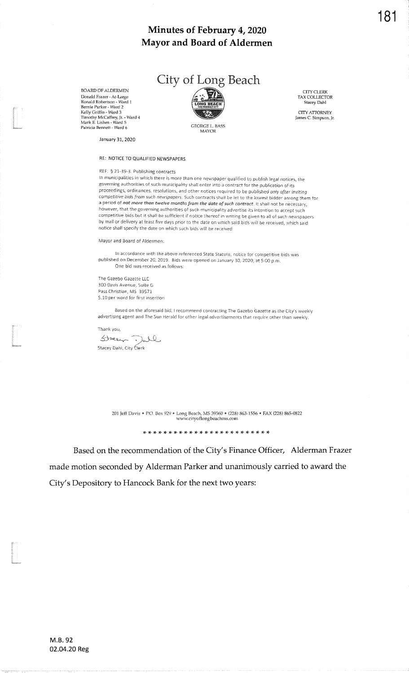

BOARD OF ALDERMEN Donald Frazer - At-Large<br>Ronald Robertson - Ward 1 Nouan Mosel son - Maria<br>
Rernie Parker - Ward 3<br>
Timothy McCaffrey, Jr. - Ward 4<br>
Mark E. Lishen - Ward 5 Patricia Bennett - Ward 6

**GEORGE L. BASS MAYOR** 

CITY CLERK TAX COLLECTOR Stacey Dahl

CITY ATTORNEY James C. Simpson, Jr.

January 31, 2020

### RE: NOTICE TO QUALIFIED NEWSPAPERS

### REF: § 21-39-3. Publishing contracts

in municipalities in which there is more than one newspaper qualified to publish legal notices, the governing authorities of such municipality shall enter into a contract for the publication of its proceedings, ordinances, resolutions, and other notices required to be published only after inviting competitive bids from such newspapers. Such contracts shall be let to the lowest bidder among them for a period of not more than twelve months from the date of such contract. It shall not be necessary, however, that the governing authorities of such municipality advertise its intention to accept such competitive bids but it shall be sufficient if notice thereof in writing be given to all of such newspapers by mail or delivery at least five days prior to the date on which said bids will be received, which said notice shall specify the date on which such bids will be received.

Mayor and Board of Aldermen:

In accordance with the above referenced State Statute, notice for competitive bids was published on December 20, 2019. Bids were opened on January 30, 2020, at 5:00 p.m. One bid was received as follows:

The Gazebo Gazette LLC 300 Davis Avenue, Suite G Pass Christian, MS 39571 \$.10 per word for first insertion

Based on the aforesaid bid, I recommend contracting The Gazebo Gazette as the City's weekly advertising agent and The Sun Herald for other legal advertisements that require other than weekly.

Thank you,

Stacen Dall Stacey Dahi, City Clerk

> 201 Jeff Davis . P.O. Box 929 . Long Beach, MS 39560 . (228) 863-1556 . FAX (228) 865-0822 www.cityoflongbeachms.com

Based on the recommendation of the City's Finance Officer, Alderman Frazer made motion seconded by Alderman Parker and unanimously carried to award the City's Depository to Hancock Bank for the next two years: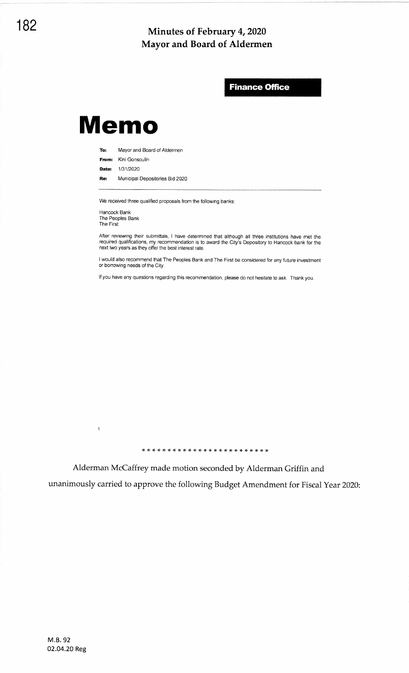**Finance Office** 

# **Memo**

To: Mayor and Board of Aldermen

From: Kini Gonsoulin

Date: 1/31/2020

Municipal Depositories Bid 2020 Re:

We received three qualified proposals from the following banks:

Hancock Bank<br>The Peoples Bank The First

 $\mathbf{1}$ 

After reviewing their submittals, I have determined that although all three institutions have met the required qualifications, my recommendation is to award the City's Depository to Hancock bank for the next two years as t

I would also recommend that The Peoples Bank and The First be considered for any future investment or borrowing needs of the City.

If you have any questions regarding this recommendation, please do not hesitate to ask. Thank you.

Alderman McCaffrey made motion seconded by Alderman Griffin and

unanimously carried to approve the following Budget Amendment for Fiscal Year 2020: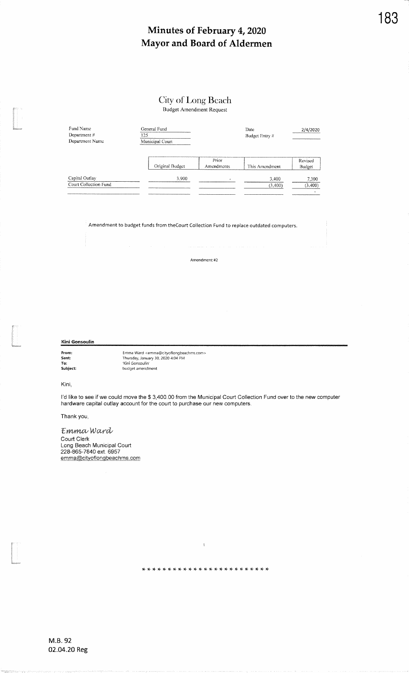## City of Long Beach

**Budget Amendment Request** 

| Fund Name<br>Department #<br>Department Name | General Fund<br>Date<br>125<br>Municipal Court |                     | Budget Entry #   | 2/4/2020          |  |
|----------------------------------------------|------------------------------------------------|---------------------|------------------|-------------------|--|
|                                              | Original Budget                                | Prior<br>Amendments | This Amendment   | Revised<br>Budget |  |
| Capital Outlay<br>Court Collection Fund      | 3.900                                          |                     | 3,400<br>(3,400) | 7,300<br>(3,400)  |  |

Amendment to budget funds from the Court Collection Fund to replace outdated computers.

### Amendment #2

Kini Gonsoulin

From:<br>Sent:<br>To:<br>Subject:

Emma Ward <emma@cityoflongbeachms.com> Thursday, January 30, 2020 4:04 PM<br>Kini Gonsoulin'<br>budget amendment

Kini.

I'd like to see if we could move the \$ 3,400.00 from the Municipal Court Collection Fund over to the new computer hardware capital outlay account for the court to purchase our new computers.

 $\bar{1}$ 

Thank you,

Emma Ward Court Clerk<br>Long Beach Municipal Court<br>228-865-7840 ext. 6957 emma@cityoflongbeachms.com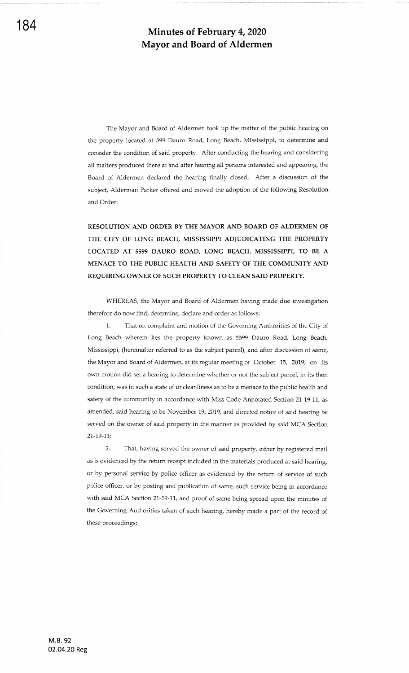The Mayor and Board of Aldermen took up the matter of the public hearing on the property located at 599 Dauro Road, Long Beach, Mississippi, to determine and consider the condition of said property. After conducting the hearing and considering all matters produced there at and after hearing all persons interested and appearing, the Board of Aldermen declared the hearing finally closed. After a discussion of the subject, Alderman Parker offered and moved the adoption of the following Resolution and Order:

RESOLUTION AND ORDER BY THE MAYOR AND BOARD OF ALDERMEN OF THE CITY OF LONG BEACH. MISSISSIPPI ADJUDICATING THE PROPERTY LOCATED AT 5599 DAURO ROAD, LONG BEACH, MISSISSIPPI, TO BE A MENACE TO THE PUBLIC HEALTH AND SAFETY OF THE COMMUNITY AND REQUIRING OWNER OF SUCH PROPERTY TO CLEAN SAID PROPERTY.

WHEREAS, the Mayor and Board of Aldermen having made due investigation therefore do now find, determine, declare and order as follows:

1. That on complaint and motion of the Governing Authorities of the City of Long Beach wherein lies the property known as 5599 Dauro Road, Long Beach, Mississippi, (hereinafter referred to as the subject parcel), and after discussion of same, the Mayor and Board of Aldermen, at its regular meeting of October 15, 2019, on its own motion did set a hearing to determine whether or not the subject parcel, in its then condition, was in such a state of uncleanliness as to be a menace to the public health and safety of the community in accordance with Miss Code Annotated Section 21-19-11, as amended, said hearing to be November 19, 2019, and directed notice of said hearing be served on the owner of said property in the manner as provided by said MCA Section  $21-19-11$ :

2. That, having served the owner of said property, either by registered mail as is evidenced by the return receipt included in the materials produced at said hearing, or by personal service by police officer as evidenced by the retum of service of such police officer, or by posting and publication of same, such service being in accordance with said MCA Section 21-19-11, and proof of same being spread upon the minutes of the Governing Authorities taken of such hearing, hereby made a part of the record of these proceedings;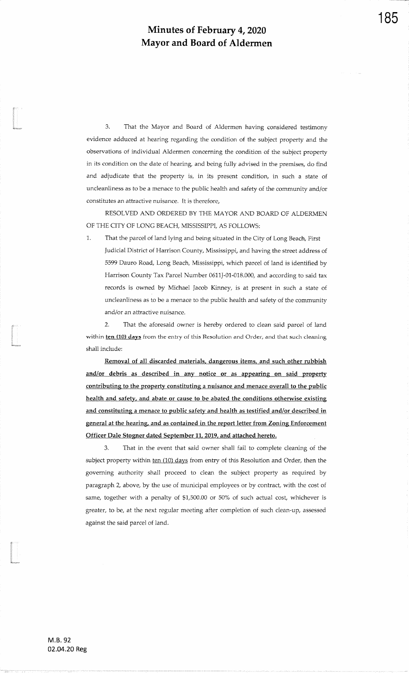3. That the Mayor and Board of Aldermen having considered testimonyevidence adduced at hearing regarding the condition of the subject property and theobservations of individual Aldermen concerning the condition of the subject propertyin its condition on the date of hearing, and being fully advised in the premises, do findand adjudicate that the property is, in its present condition, in such a state of uncleanliness as to be a menace to the public health and safety of the community and/or constitutes an attractive nuisance, It is therefore,

RESOLVED AND ORDERED BY THE MAYOR AND BOARD OF ALDERMENOF THE CITY OF LONG BEACH, MISSISSIPPI, AS FOLLOWS:

1. That the parcel of land lying and being situated in the City of Long Beach, First Judicial District of Harrison County, Mississippi, and having the street address of 5599 Dauro Road, Long Beach, Mississippi, which parcel of land is identified byHarrison County Tax Parcel Number 0611J-01-018.000, and according to said tax records is owned by Michael Jacob Kinney, is at present in such a state of uncleanliness as to be a menace to the public health and safety of the communityand/or an attractive nuisance.

2. That the aforesaid owner is hereby ordered to clean said parcel of landwithin  $ten$  (10) days from the entry of this Resolution and Order, and that such cleaning shall include:

Removal of all discarded materials, dangerous items, and such other rubbishand/or debris as described in any notice or as appearing on said property contributing to the property constituting a nuisance and menace overall to the public health and safety, and abate or cause to be abated the conditions otherwise existingand constituting a menace to public safety and health as testified and/or described in general at the hearing, and as contained in the report letter from Zoning EnforcementOfficer Dale Stogner dated September 11,2019, and attached hereto.

3. That in the event that said owner shall fail to complete cleaning of thesubject property within ten (10) days from entry of this Resolution and Order, then the governing authorify shall proceed to clean the subject property as required byparagraph 2, above, by the use of municipal employees or by contract, with the cost of same, together with a penalty of \$1,500.00 or 50% of such actual cost, whichever is greater, to be, at the next regular meeting after completion of such clean-up, assessedagainst the said parcel of land.

ta<br>1980<br>Kabupaten

In the company of the company of the company of the company of the company of the company of the company of the company of the company of the company of the company of the company of the company of the company of the compa

il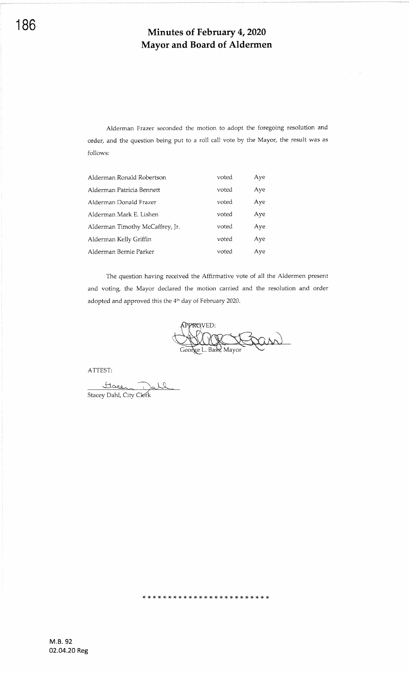Alderman Frazer seconded the motion to adopt the foregoing resolution and order, and the question being put to a roll call vote by the Mayor, the result was as follows:

| Alderman Ronald Robertson       | voted | Aye |
|---------------------------------|-------|-----|
| Alderman Patricia Bennett       | voted | Aye |
| Alderman Donald Frazer          | voted | Aye |
| Alderman Mark E. Lishen         | voted | Aye |
| Alderman Timothy McCaffrey, Jr. | voted | Aye |
| Alderman Kelly Griffin          | voted | Aye |
| Alderman Bernie Parker          | voted | Aye |

The question having received the Affirmative vote of all the Aldermen present and voting, the Mayor declared the motion carried and the resolution and order adopted and approved this the 4<sup>th</sup> day of February 2020.

PPROVED: and George L. Bass, Mayor

ATTEST:

Stace 10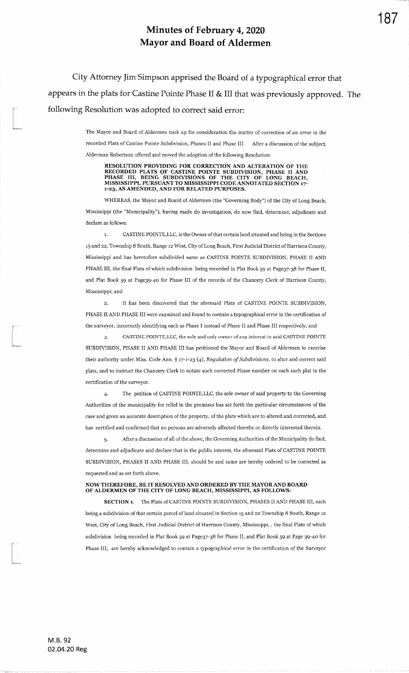City Attorney Jim Simpson apprised the Board of a typographical error thatappears in the plats for Castine Pointe Phase II & III that was previously approved. The following Resolution was adopted to correct said error:

> The Mayor and Board of Aldermen took up for consideration the matter of correction of an error in the recorded Plats of Castine Pointe Subdivision, Phases II and Phase III. After a discussion of the subject, Alderman Robertson offered and moved the adoption of the following Resolution:

RESOLUTION PROVIDING FOR CORRECTION AND ALTERATION OF THE RECORDED PLATS OF CASTINE POINTE SUBDIVISION, PHASE II AND PHASE III, BEING SUBDIVISIONS OF THE CITY OF LONG BEACH,<br>MISSISSIPPI, PURSUANT TO MISSISSIPPI CODE ANNOTATED SECTION 17-1-23, AS AMENDED, AND FOR RELATED PURPOSES.

WHEREAS, the Mayor and Board of Aldermen (the "Governing Body") of the City of Long Beach, Mississippi (the "Municipalig"), having made do investigation, do now find, determine, adudicate anddeclare as follows:

1. CASTINE POINTE, LLC, is the Owner of that certain land situated and being in the Sections 15 and 22, Township 8 South, Range 12 West, City of Long Beach, First Judicial District of Harrison County, Mississippi and has heretofore subdivided same as CASfiNE POINTE SUBDIVISION, PILASE II ANDPHASE III, the final Plats of which subdivision being recorded in Plat Book 59 at Page37-38 for Phase II, and Plat Book 59 at Page39-4o for Phase III of the records of the Chancery Clerk of Harrison County,Mississippi; and

2. It has been discovered that the aforesaid Plats of CASTINE POINTE SUBDfVISION,PHASE II AND PHASE III were examined and found to contain a typographical error in the certification of the surveyor, incorrectly identifying each as Phase I instead of Phase II and Phase III respectively; and

CASTINE POINTE, LLC, the sole and only owner of any interest in said CASTINE POINTE SUBDIVISION, PHASE II AND PHASE III has petitioned the Mayor and Board of Aldermen to exercisetheir authority under Miss. Code Ann.  $\S$  17-1-23 (4), Regulation of Subdivisions, to alter and correct said plats, and to instruct the Chancery Clerk to notate such corrected Phase number on each such plat in thecertification of the surveyor.

4. The petition of CASTINE POINTE,LLC, the sole ovmer of said property to the GoverningAuthorities of the municipality for relief in the premises has set forth the particular circumstances of thecase and given an accurate description of the property, of the plats which are to altered and corrected, and has certified and confirmed that no persons are adversely affected thereby or directly interested therein

After a discussion of all of the above, the Governing Authorities of the Municipality do find, determine and adjudicate and declare that in the public interest, the aforesaid Plats of CASTINE POINTESUBDWISION, PIIASES II AND PHASE III, should be and same are hereby ordered to be corrected asrequested and as set forth above.

#### NOW THEREFORE, BE IT RESOLVED AND ORDERED BY THE MAYOR AND BOARD OF AIDERMEN OF THE CITY OF LONG BEACH, MISSISSPPI, AS FOLLOWS:

SECTION 1. The Plats of CASTINE POINTE SUBDIVISION, PHASES II AND PHASE III, each being a subdivision of that certain parcel of land situated in Section 15 and 22 Township 8 South, Range 12 West, City of Long Beach, First Judicial District of Harrison County, Mississippi, , the final Plats of which subdivision being recorded in Plat Book 59 at Page37-38 for Phase II, and Plat Book 59 at Page 39-40 for Phase III, are hereby acknowledged to contain a typographical error in the certification of the Surveyor

M.8.9202.04.20 Reg

f<br>Waxaan

I

{L-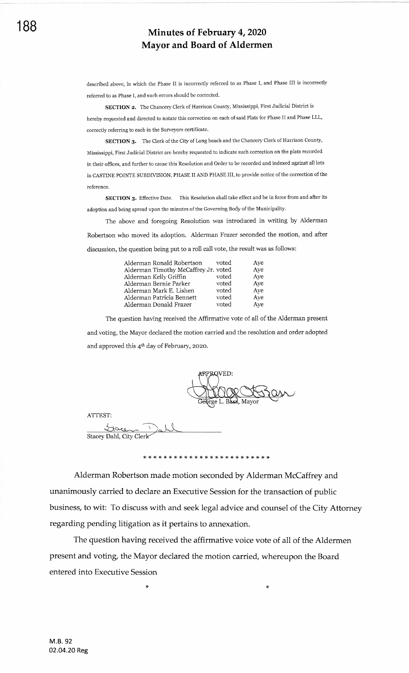described above, in which the Phase II is incorrectly referred to as Phase I, and Phase III is incorrectly referred to as Phase I, and such errors should be corrected.

SECTION 2. The Chancery Clerk of Harrison County, Mississippi, First Judicial District is hereby requested and directed to notate this correction on each of said Plats for Phase II and Phase LLL, correctly referring to each in the Surveyors certificate.

SECTION 3. The Clerk of the City of Long beach and the Chancery Clerk of Harrison County, Mississippi, First Judicial District are hereby requested to indicate such correction on the plats recorded in their offices, and further to cause this Resolution and Order to be recorded and indexed against all lots in CASTINE POINTE SUBDIVISION, PHASE II AND PHASE III, to provide notice of the correction of the reference.

SECTION 3. Effective Date. This Resolution shall take effect and be in force from and after its adoption and being spread upon the minutes of the Governing Body of the Municipality.

The above and foregoing Resolution was introduced in writing by Alderman Robertson who moved its adoption. Alderman Frazer seconded the motion, and after discussion, the question being put to a roll call vote, the result was as follows:

| Alderman Ronald Robertson            | voted | Ave |
|--------------------------------------|-------|-----|
| Alderman Timothy McCaffrey Jr. voted |       | Aye |
| Alderman Kelly Griffin               | voted | Aye |
| Alderman Bernie Parker               | voted | Aye |
| Alderman Mark E. Lishen              | voted | Ave |
| Alderman Patricia Bennett            | voted | Aye |
| Alderman Donald Frazer               | voted | Ave |

The question having received the Affirmative vote of all of the Alderman present and voting, the Mayor declared the motion carried and the resolution and order adopted and approved this 4<sup>th</sup> day of February, 2020.

L. Bass, Mayor

ATTEST:

Itaren Dall Stacey Dahl, City Clerk $\le$ 

Alderman Robertson made motion seconded by Alderman McCaffrey and unanimously carried to declare an Executive Session for the transaction of public business, to wit: To discuss with and seek legal advice and counsel of the City Attorney regarding pending litigation as it pertains to annexation.

The question having received the affirmative voice vote of all of the Aldermen Present and voting, the Mayor declared the motion carried, whereupon the Board entered into Executive Session

 $\star$